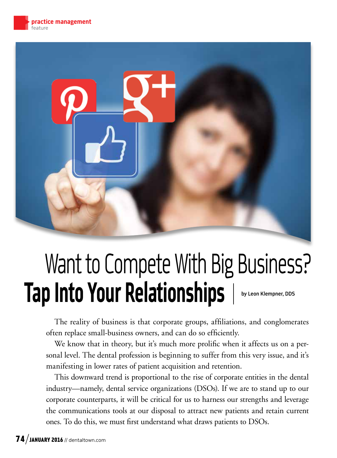

# Want to Compete With Big Business? Tap Into Your Relationships | by Leon Klempner, DDS

The reality of business is that corporate groups, affiliations, and conglomerates often replace small-business owners, and can do so efficiently.

We know that in theory, but it's much more prolific when it affects us on a personal level. The dental profession is beginning to suffer from this very issue, and it's manifesting in lower rates of patient acquisition and retention.

This downward trend is proportional to the rise of corporate entities in the dental industry—namely, dental service organizations (DSOs). If we are to stand up to our corporate counterparts, it will be critical for us to harness our strengths and leverage the communications tools at our disposal to attract new patients and retain current ones. To do this, we must first understand what draws patients to DSOs.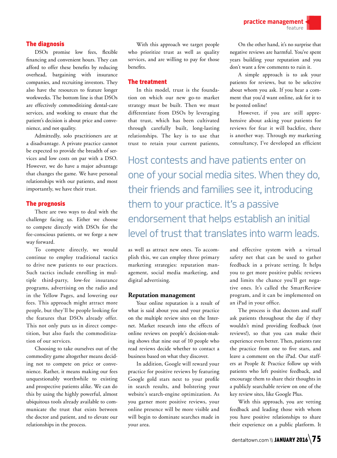practice management feature

### The diagnosis

DSOs promise low fees, flexible financing and convenient hours. They can afford to offer these benefits by reducing overhead, bargaining with insurance companies, and recruiting investors. They also have the resources to feature longer workweeks. The bottom line is that DSOs are effectively commoditizing dental-care services, and working to ensure that the patient's decision is about price and convenience, and not quality.

Admittedly, solo practitioners are at a disadvantage. A private practice cannot be expected to provide the breadth of services and low costs on par with a DSO. However, we do have a major advantage that changes the game. We have personal relationships with our patients, and most importantly, we have their trust.

#### The prognosis

There are two ways to deal with the challenge facing us. Either we choose to compete directly with DSOs for the fee-conscious patients, or we forge a new way forward.

To compete directly, we would continue to employ traditional tactics to drive new patients to our practices. Such tactics include enrolling in multiple third-party, low-fee insurance programs, advertising on the radio and in the Yellow Pages, and lowering our fees. This approach might attract more people, but they'll be people looking for the features that DSOs already offer. This not only puts us in direct competition, but also fuels the commoditization of our services.

Choosing to take ourselves out of the commodity game altogether means deciding not to compete on price or convenience. Rather, it means making our fees unquestionably worthwhile to existing and prospective patients alike. We can do this by using the highly powerful, almost ubiquitous tools already available to communicate the trust that exists between the doctor and patient, and to elevate our relationships in the process.

With this approach we target people who prioritize trust as well as quality services, and are willing to pay for those benefits.

### The treatment

In this model, trust is the foundation on which our new go-to market strategy must be built. Then we must differentiate from DSOs by leveraging that trust, which has been cultivated through carefully built, long-lasting relationships. The key is to use that trust to retain your current patients,

On the other hand, it's no surprise that negative reviews are harmful. You've spent years building your reputation and you don't want a few comments to ruin it.

A simple approach is to ask your patients for reviews, but to be selective about whom you ask. If you hear a comment that you'd want online, ask for it to be posted online!

However, if you are still apprehensive about asking your patients for reviews for fear it will backfire, there is another way. Through my marketing consultancy, I've developed an efficient

Host contests and have patients enter on one of your social media sites. When they do, their friends and families see it, introducing them to your practice. It's a passive endorsement that helps establish an initial level of trust that translates into warm leads.

as well as attract new ones. To accomplish this, we can employ three primary marketing strategies: reputation management, social media marketing, and digital advertising.

#### **Reputation management**

Your online reputation is a result of what is said about you and your practice on the multiple review sites on the Internet. Market research into the effects of online reviews on people's decision-making shows that nine out of 10 people who read reviews decide whether to contact a business based on what they discover.

In addition, Google will reward your practice for positive reviews by featuring Google gold stars next to your profile in search results, and bolstering your website's search-engine optimization. As you garner more positive reviews, your online presence will be more visible and will begin to dominate searches made in your area.

and effective system with a virtual safety net that can be used to gather feedback in a private setting. It helps you to get more positive public reviews and limits the chance you'll get negative ones. It's called the SmartReview program, and it can be implemented on an iPad in your office.

The process is that doctors and staff ask patients throughout the day if they wouldn't mind providing feedback (not reviews!), so that you can make their experience even better. Then, patients rate the practice from one to five stars, and leave a comment on the iPad. Our staffers at People & Practice follow up with patients who left positive feedback, and encourage them to share their thoughts in a publicly searchable review on one of the key review sites, like Google Plus.

With this approach, you are vetting feedback and leading those with whom you have positive relationships to share their experience on a public platform. It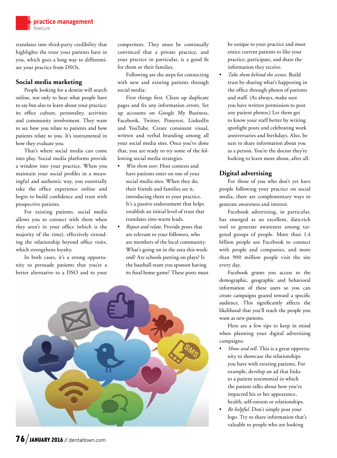

translates into third-party credibility that highlights the trust your patients have in you, which goes a long way to differentiate your practice from DSOs.

# **Social media marketing**

People looking for a dentist will search online, not only to hear what people have to say but also to learn about your practice: its office culture, personality, activities and community involvement. They want to see how you relate to patients and how patients relate to you. It's instrumental in how they evaluate you.

That's where social media can come into play. Social media platforms provide a window into your practice. When you maintain your social profiles in a meaningful and authentic way, you essentially take the office experience online and begin to build confidence and trust with prospective patients.

For existing patients, social media allows you to connect with them when they aren't in your office (which is the majority of the time), effectively extending the relationship beyond office visits, which strengthens loyalty.

In both cases, it's a strong opportunity to persuade patients that you're a better alternative to a DSO and to your

competitors. They must be continually convinced that a private practice, and your practice in particular, is a good fit for them or their families.

Following are the steps for connecting with new and existing patients through social media:

First things first. Clean up duplicate pages and fix any information errors. Set up accounts on Google My Business, Facebook, Twitter, Pinterest, LinkedIn and YouTube. Create consistent visual, written and verbal branding among all your social media sites. Once you've done that, you are ready to try some of the following social media strategies.

- *Win them over.* Host contests and have patients enter on one of your social media sites. When they do, their friends and families see it, introducing them to your practice. It's a passive endorsement that helps establish an initial level of trust that translates into warm leads.
- *Repost and relate*. Provide posts that are relevant to your followers, who are members of the local community. What's going on in the area this weekend? Are schools putting on plays? Is the baseball team you sponsor having its final home game? These posts must



be unique to your practice and must entice current patients to like your practice, participate, and share the information they receive.

• *Take them behind the scenes*. Build trust by sharing what's happening in the office through photos of patients and staff. (As always, make sure you have written permission to post any patient photos.) Let them get to know your staff better by writing spotlight posts and celebrating work anniversaries and birthdays. Also, be sure to share information about you as a person. You're the doctor they're looking to learn more about, after all.

# **Digital advertising**

For those of you who don't yet have people following your practice on social media, there are complementary ways to generate awareness and interest.

Facebook advertising, in particular, has emerged as an excellent, data-rich tool to generate awareness among targeted groups of people. More than 1.4 billion people use Facebook to connect with people and companies, and more than 900 million people visit the site every day.

Facebook grants you access to the demographic, geographic and behavioral information of these users so you can create campaigns geared toward a specific audience. This significantly affects the likelihood that you'll reach the people you want as new patients.

Here are a few tips to keep in mind when planning your digital advertising campaigns:

- *Show and tell*. This is a great opportunity to showcase the relationships you have with existing patients. For example, develop an ad that links to a patient testimonial in which the patient talks about how you've impacted his or her appearance, health, self-esteem or relationships.
- *Be helpful*. Don't simply post your logo. Try to share information that's valuable to people who are looking